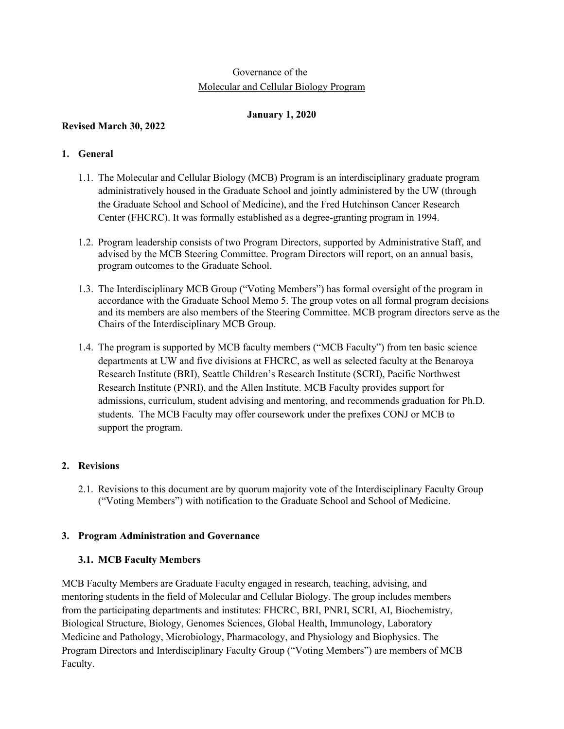# Governance of the Molecular and Cellular Biology Program

### **January 1, 2020**

# **Revised March 30, 2022**

# **1. General**

- 1.1. The Molecular and Cellular Biology (MCB) Program is an interdisciplinary graduate program administratively housed in the Graduate School and jointly administered by the UW (through the Graduate School and School of Medicine), and the Fred Hutchinson Cancer Research Center (FHCRC). It was formally established as a degree-granting program in 1994.
- 1.2. Program leadership consists of two Program Directors, supported by Administrative Staff, and advised by the MCB Steering Committee. Program Directors will report, on an annual basis, program outcomes to the Graduate School.
- 1.3. The Interdisciplinary MCB Group ("Voting Members") has formal oversight of the program in accordance with the Graduate School Memo 5. The group votes on all formal program decisions and its members are also members of the Steering Committee. MCB program directors serve as the Chairs of the Interdisciplinary MCB Group.
- 1.4. The program is supported by MCB faculty members ("MCB Faculty") from ten basic science departments at UW and five divisions at FHCRC, as well as selected faculty at the Benaroya Research Institute (BRI), Seattle Children's Research Institute (SCRI), Pacific Northwest Research Institute (PNRI), and the Allen Institute. MCB Faculty provides support for admissions, curriculum, student advising and mentoring, and recommends graduation for Ph.D. students. The MCB Faculty may offer coursework under the prefixes CONJ or MCB to support the program.

# **2. Revisions**

2.1. Revisions to this document are by quorum majority vote of the Interdisciplinary Faculty Group ("Voting Members") with notification to the Graduate School and School of Medicine.

# **3. Program Administration and Governance**

# **3.1. MCB Faculty Members**

MCB Faculty Members are Graduate Faculty engaged in research, teaching, advising, and mentoring students in the field of Molecular and Cellular Biology. The group includes members from the participating departments and institutes: FHCRC, BRI, PNRI, SCRI, AI, Biochemistry, Biological Structure, Biology, Genomes Sciences, Global Health, Immunology, Laboratory Medicine and Pathology, Microbiology, Pharmacology, and Physiology and Biophysics. The Program Directors and Interdisciplinary Faculty Group ("Voting Members") are members of MCB Faculty.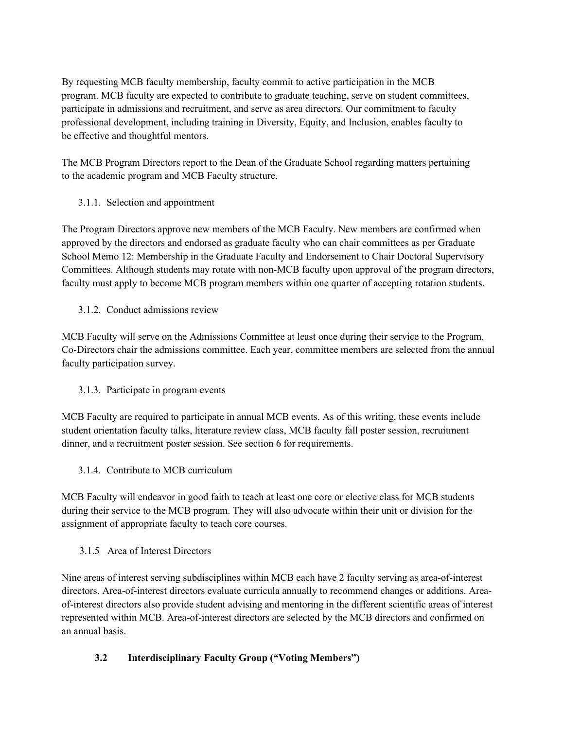By requesting MCB faculty membership, faculty commit to active participation in the MCB program. MCB faculty are expected to contribute to graduate teaching, serve on student committees, participate in admissions and recruitment, and serve as area directors. Our commitment to faculty professional development, including training in Diversity, Equity, and Inclusion, enables faculty to be effective and thoughtful mentors.

The MCB Program Directors report to the Dean of the Graduate School regarding matters pertaining to the academic program and MCB Faculty structure.

3.1.1. Selection and appointment

The Program Directors approve new members of the MCB Faculty. New members are confirmed when approved by the directors and endorsed as graduate faculty who can chair committees as per Graduate School Memo 12: Membership in the Graduate Faculty and Endorsement to Chair Doctoral Supervisory Committees. Although students may rotate with non-MCB faculty upon approval of the program directors, faculty must apply to become MCB program members within one quarter of accepting rotation students.

3.1.2. Conduct admissions review

MCB Faculty will serve on the Admissions Committee at least once during their service to the Program. Co-Directors chair the admissions committee. Each year, committee members are selected from the annual faculty participation survey.

3.1.3. Participate in program events

MCB Faculty are required to participate in annual MCB events. As of this writing, these events include student orientation faculty talks, literature review class, MCB faculty fall poster session, recruitment dinner, and a recruitment poster session. See section 6 for requirements.

3.1.4. Contribute to MCB curriculum

MCB Faculty will endeavor in good faith to teach at least one core or elective class for MCB students during their service to the MCB program. They will also advocate within their unit or division for the assignment of appropriate faculty to teach core courses.

3.1.5 Area of Interest Directors

Nine areas of interest serving subdisciplines within MCB each have 2 faculty serving as area-of-interest directors. Area-of-interest directors evaluate curricula annually to recommend changes or additions. Areaof-interest directors also provide student advising and mentoring in the different scientific areas of interest represented within MCB. Area-of-interest directors are selected by the MCB directors and confirmed on an annual basis.

# **3.2 Interdisciplinary Faculty Group ("Voting Members")**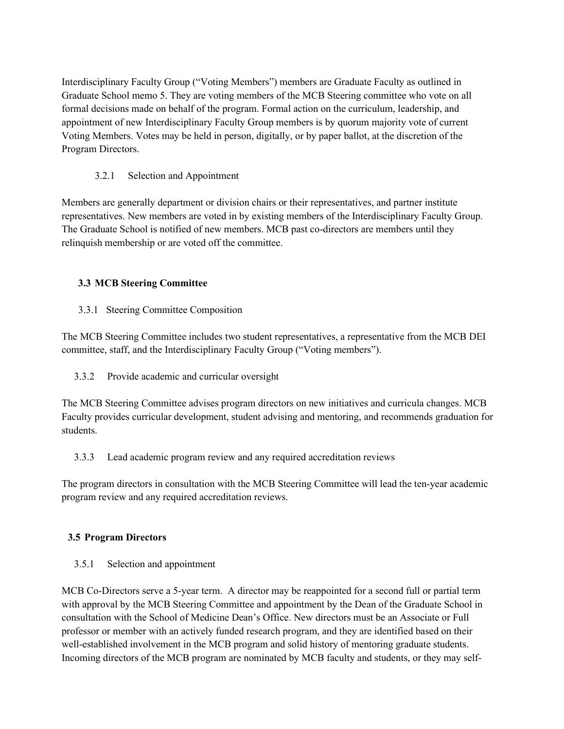Interdisciplinary Faculty Group ("Voting Members") members are Graduate Faculty as outlined in Graduate School memo 5. They are voting members of the MCB Steering committee who vote on all formal decisions made on behalf of the program. Formal action on the curriculum, leadership, and appointment of new Interdisciplinary Faculty Group members is by quorum majority vote of current Voting Members. Votes may be held in person, digitally, or by paper ballot, at the discretion of the Program Directors.

### 3.2.1 Selection and Appointment

Members are generally department or division chairs or their representatives, and partner institute representatives. New members are voted in by existing members of the Interdisciplinary Faculty Group. The Graduate School is notified of new members. MCB past co-directors are members until they relinquish membership or are voted off the committee.

### **3.3 MCB Steering Committee**

### 3.3.1 Steering Committee Composition

The MCB Steering Committee includes two student representatives, a representative from the MCB DEI committee, staff, and the Interdisciplinary Faculty Group ("Voting members").

### 3.3.2 Provide academic and curricular oversight

The MCB Steering Committee advises program directors on new initiatives and curricula changes. MCB Faculty provides curricular development, student advising and mentoring, and recommends graduation for students.

### 3.3.3 Lead academic program review and any required accreditation reviews

The program directors in consultation with the MCB Steering Committee will lead the ten-year academic program review and any required accreditation reviews.

# **3.5 Program Directors**

3.5.1 Selection and appointment

MCB Co-Directors serve a 5-year term. A director may be reappointed for a second full or partial term with approval by the MCB Steering Committee and appointment by the Dean of the Graduate School in consultation with the School of Medicine Dean's Office. New directors must be an Associate or Full professor or member with an actively funded research program, and they are identified based on their well-established involvement in the MCB program and solid history of mentoring graduate students. Incoming directors of the MCB program are nominated by MCB faculty and students, or they may self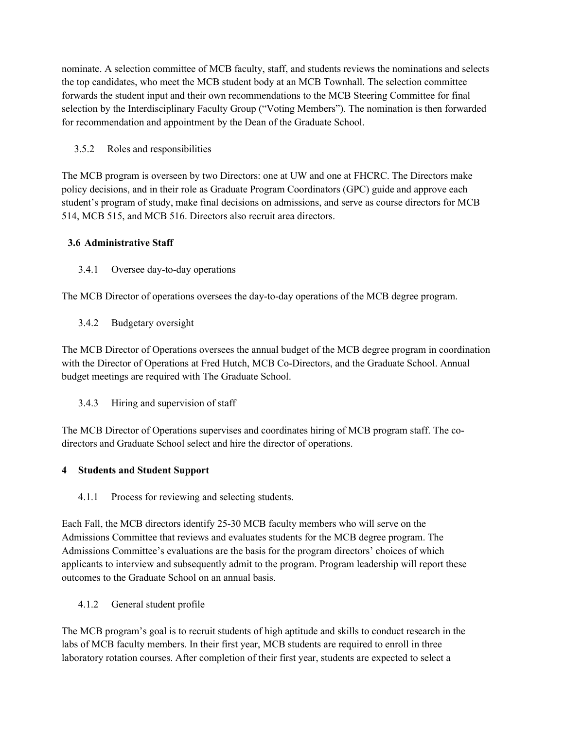nominate. A selection committee of MCB faculty, staff, and students reviews the nominations and selects the top candidates, who meet the MCB student body at an MCB Townhall. The selection committee forwards the student input and their own recommendations to the MCB Steering Committee for final selection by the Interdisciplinary Faculty Group ("Voting Members"). The nomination is then forwarded for recommendation and appointment by the Dean of the Graduate School.

### 3.5.2 Roles and responsibilities

The MCB program is overseen by two Directors: one at UW and one at FHCRC. The Directors make policy decisions, and in their role as Graduate Program Coordinators (GPC) guide and approve each student's program of study, make final decisions on admissions, and serve as course directors for MCB 514, MCB 515, and MCB 516. Directors also recruit area directors.

### **3.6 Administrative Staff**

3.4.1 Oversee day-to-day operations

The MCB Director of operations oversees the day-to-day operations of the MCB degree program.

3.4.2 Budgetary oversight

The MCB Director of Operations oversees the annual budget of the MCB degree program in coordination with the Director of Operations at Fred Hutch, MCB Co-Directors, and the Graduate School. Annual budget meetings are required with The Graduate School.

3.4.3 Hiring and supervision of staff

The MCB Director of Operations supervises and coordinates hiring of MCB program staff. The codirectors and Graduate School select and hire the director of operations.

### **4 Students and Student Support**

4.1.1 Process for reviewing and selecting students.

Each Fall, the MCB directors identify 25-30 MCB faculty members who will serve on the Admissions Committee that reviews and evaluates students for the MCB degree program. The Admissions Committee's evaluations are the basis for the program directors' choices of which applicants to interview and subsequently admit to the program. Program leadership will report these outcomes to the Graduate School on an annual basis.

4.1.2 General student profile

The MCB program's goal is to recruit students of high aptitude and skills to conduct research in the labs of MCB faculty members. In their first year, MCB students are required to enroll in three laboratory rotation courses. After completion of their first year, students are expected to select a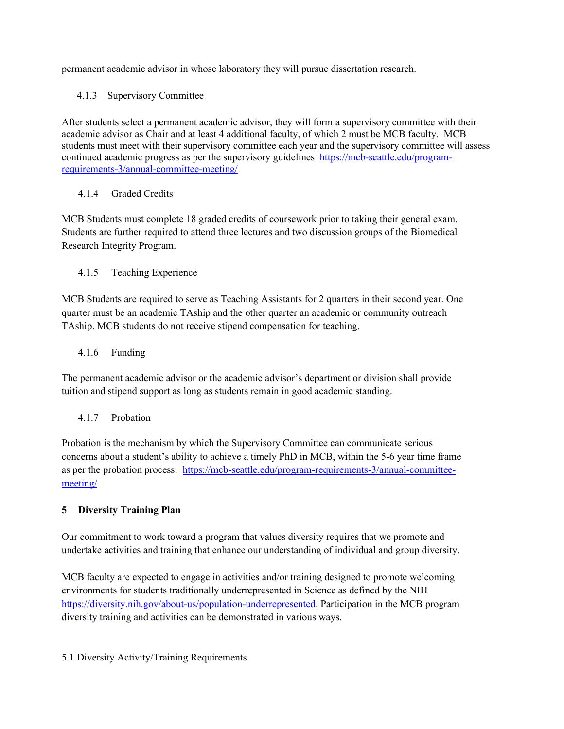permanent academic advisor in whose laboratory they will pursue dissertation research.

4.1.3 Supervisory Committee

After students select a permanent academic advisor, they will form a supervisory committee with their academic advisor as Chair and at least 4 additional faculty, of which 2 must be MCB faculty. MCB students must meet with their supervisory committee each year and the supervisory committee will assess continued academic progress as per the supervisory guidelines [https://mcb-seattle.edu/program](https://mcb-seattle.edu/program-requirements-3/annual-committee-meeting/)[requirements-3/annual-committee-meeting/](https://mcb-seattle.edu/program-requirements-3/annual-committee-meeting/) 

### 4.1.4 Graded Credits

MCB Students must complete 18 graded credits of coursework prior to taking their general exam. Students are further required to attend three lectures and two discussion groups of the Biomedical Research Integrity Program.

### 4.1.5 Teaching Experience

MCB Students are required to serve as Teaching Assistants for 2 quarters in their second year. One quarter must be an academic TAship and the other quarter an academic or community outreach TAship. MCB students do not receive stipend compensation for teaching.

#### 4.1.6 Funding

The permanent academic advisor or the academic advisor's department or division shall provide tuition and stipend support as long as students remain in good academic standing.

4.1.7 Probation

Probation is the mechanism by which the Supervisory Committee can communicate serious concerns about a student's ability to achieve a timely PhD in MCB, within the 5-6 year time frame as per the probation process: [https://mcb-seattle.edu/program-requirements-3/annual-committee](https://mcb-seattle.edu/program-requirements-3/annual-committee-meeting/)[meeting/](https://mcb-seattle.edu/program-requirements-3/annual-committee-meeting/)

### **5 Diversity Training Plan**

Our commitment to work toward a program that values diversity requires that we promote and undertake activities and training that enhance our understanding of individual and group diversity.

MCB faculty are expected to engage in activities and/or training designed to promote welcoming environments for students traditionally underrepresented in Science as defined by the NIH [https://diversity.nih.gov/about-us/population-underrepresented.](https://diversity.nih.gov/about-us/population-underrepresented) Participation in the MCB program diversity training and activities can be demonstrated in various ways.

5.1 Diversity Activity/Training Requirements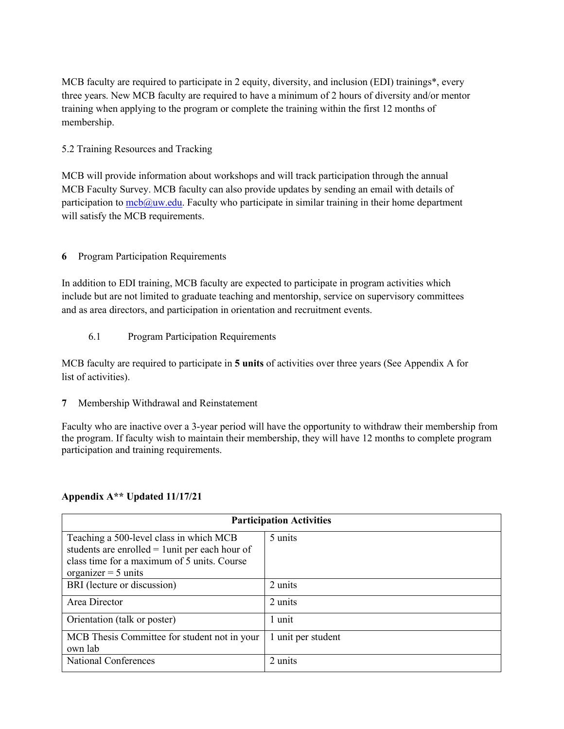MCB faculty are required to participate in 2 equity, diversity, and inclusion (EDI) trainings\*, every three years. New MCB faculty are required to have a minimum of 2 hours of diversity and/or mentor training when applying to the program or complete the training within the first 12 months of membership.

### 5.2 Training Resources and Tracking

MCB will provide information about workshops and will track participation through the annual MCB Faculty Survey. MCB faculty can also provide updates by sending an email with details of participation to  $\text{mcb}(\hat{a})$  uw.edu. Faculty who participate in similar training in their home department will satisfy the MCB requirements.

### **6** Program Participation Requirements

In addition to EDI training, MCB faculty are expected to participate in program activities which include but are not limited to graduate teaching and mentorship, service on supervisory committees and as area directors, and participation in orientation and recruitment events.

6.1 Program Participation Requirements

MCB faculty are required to participate in **5 units** of activities over three years (See Appendix A for list of activities).

**7** Membership Withdrawal and Reinstatement

Faculty who are inactive over a 3-year period will have the opportunity to withdraw their membership from the program. If faculty wish to maintain their membership, they will have 12 months to complete program participation and training requirements.

### **Appendix A\*\* Updated 11/17/21**

| <b>Participation Activities</b>                   |                    |
|---------------------------------------------------|--------------------|
| Teaching a 500-level class in which MCB           | 5 units            |
| students are enrolled $=$ 1 unit per each hour of |                    |
| class time for a maximum of 5 units. Course       |                    |
| organizer = $5 \text{ units}$                     |                    |
| BRI (lecture or discussion)                       | 2 units            |
| Area Director                                     | 2 units            |
| Orientation (talk or poster)                      | 1 unit             |
| MCB Thesis Committee for student not in your      | 1 unit per student |
| own lab                                           |                    |
| <b>National Conferences</b>                       | 2 units            |